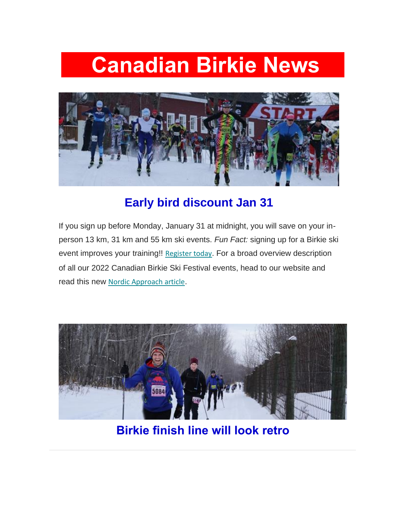# **Canadian Birkie News**



### **Early bird discount Jan 31**

If you sign up before Monday, January 31 at midnight, you will save on your inperson 13 km, 31 km and 55 km ski events. *Fun Fact:* signing up for a Birkie ski event improves your training!! [Register today](https://canadianbirkie.us14.list-manage.com/track/click?u=9a8b615d3eff76095a3ebc006&id=ed8929decd&e=75b743088f). For a broad overview description of all our 2022 Canadian Birkie Ski Festival events, head to our website and read this new [Nordic Approach article](https://canadianbirkie.us14.list-manage.com/track/click?u=9a8b615d3eff76095a3ebc006&id=b57b9ac932&e=75b743088f).



**Birkie finish line will look retro**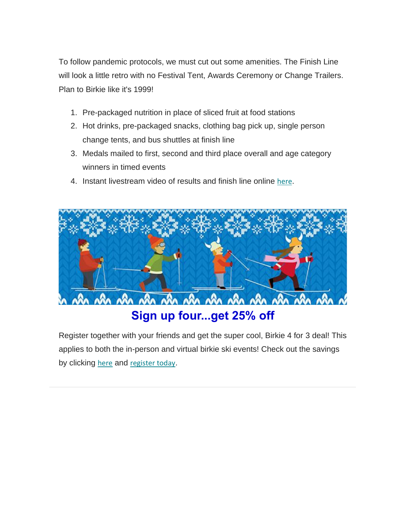To follow pandemic protocols, we must cut out some amenities. The Finish Line will look a little retro with no Festival Tent, Awards Ceremony or Change Trailers. Plan to Birkie like it's 1999!

- 1. Pre-packaged nutrition in place of sliced fruit at food stations
- 2. Hot drinks, pre-packaged snacks, clothing bag pick up, single person change tents, and bus shuttles at finish line
- 3. Medals mailed to first, second and third place overall and age category winners in timed events
- 4. Instant livestream video of results and finish line online [here](https://canadianbirkie.us14.list-manage.com/track/click?u=9a8b615d3eff76095a3ebc006&id=8f2cf58f54&e=75b743088f).



Register together with your friends and get the super cool, Birkie 4 for 3 deal! This applies to both the in-person and virtual birkie ski events! Check out the savings by clicking [here](https://canadianbirkie.us14.list-manage.com/track/click?u=9a8b615d3eff76095a3ebc006&id=7ac430347f&e=75b743088f) and [register today](https://canadianbirkie.us14.list-manage.com/track/click?u=9a8b615d3eff76095a3ebc006&id=d5c624fe1d&e=75b743088f).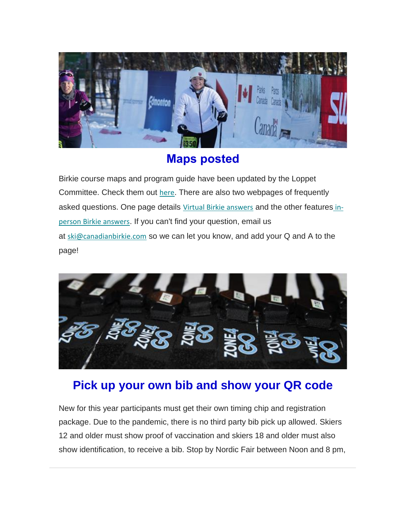

### **Maps posted**

Birkie course maps and program guide have been updated by the Loppet Committee. Check them out [here](https://canadianbirkie.us14.list-manage.com/track/click?u=9a8b615d3eff76095a3ebc006&id=599a070ed7&e=75b743088f). There are also two webpages of frequently asked questions. One page details [Virtual Birkie answers](https://canadianbirkie.us14.list-manage.com/track/click?u=9a8b615d3eff76095a3ebc006&id=145ef8f631&e=75b743088f) and the other features [in](https://canadianbirkie.us14.list-manage.com/track/click?u=9a8b615d3eff76095a3ebc006&id=e656e391de&e=75b743088f)[person Birkie answers](https://canadianbirkie.us14.list-manage.com/track/click?u=9a8b615d3eff76095a3ebc006&id=e656e391de&e=75b743088f). If you can't find your question, email us at [ski@canadianbirkie.com](mailto:ski@canadianbirkie.com) so we can let you know, and add your Q and A to the page!



### **Pick up your own bib and show your QR code**

New for this year participants must get their own timing chip and registration package. Due to the pandemic, there is no third party bib pick up allowed. Skiers 12 and older must show proof of vaccination and skiers 18 and older must also show identification, to receive a bib. Stop by Nordic Fair between Noon and 8 pm,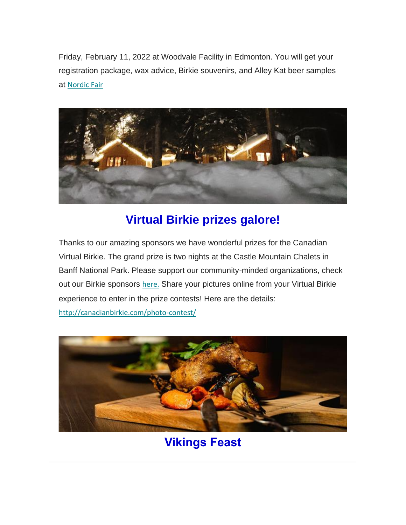Friday, February 11, 2022 at Woodvale Facility in Edmonton. You will get your registration package, wax advice, Birkie souvenirs, and Alley Kat beer samples at [Nordic Fair](https://canadianbirkie.us14.list-manage.com/track/click?u=9a8b615d3eff76095a3ebc006&id=8f7cb261dd&e=75b743088f)



### **Virtual Birkie prizes galore!**

Thanks to our amazing sponsors we have wonderful prizes for the Canadian Virtual Birkie. The grand prize is two nights at the Castle Mountain Chalets in Banff National Park. Please support our community-minded organizations, check out our Birkie sponsors [here.](https://canadianbirkie.us14.list-manage.com/track/click?u=9a8b615d3eff76095a3ebc006&id=971e373638&e=75b743088f) Share your pictures online from your Virtual Birkie experience to enter in the prize contests! Here are the details:

[http://canadianbirkie.com/photo-contest/](https://canadianbirkie.us14.list-manage.com/track/click?u=9a8b615d3eff76095a3ebc006&id=5646a39088&e=75b743088f)



## **Vikings Feast**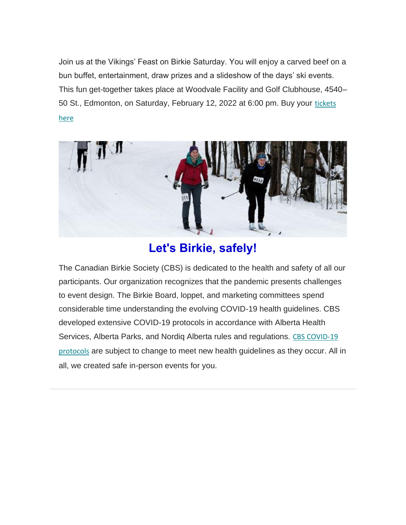Join us at the Vikings' Feast on Birkie Saturday. You will enjoy a carved beef on a bun buffet, entertainment, draw prizes and a slideshow of the days' ski events. This fun get-together takes place at Woodvale Facility and Golf Clubhouse, 4540– 50 St., Edmonton, on Saturday, February 12, 2022 at 6:00 pm. Buy your tickets [here](https://canadianbirkie.us14.list-manage.com/track/click?u=9a8b615d3eff76095a3ebc006&id=869da027cd&e=75b743088f)



### **Let's Birkie, safely!**

The Canadian Birkie Society (CBS) is dedicated to the health and safety of all our participants. Our organization recognizes that the pandemic presents challenges to event design. The Birkie Board, loppet, and marketing committees spend considerable time understanding the evolving COVID-19 health guidelines. CBS developed extensive COVID-19 protocols in accordance with Alberta Health Services, Alberta Parks, and Nordiq Alberta rules and regulations. [CBS COVID-19](https://canadianbirkie.us14.list-manage.com/track/click?u=9a8b615d3eff76095a3ebc006&id=bc84d21779&e=75b743088f)  [protocols](https://canadianbirkie.us14.list-manage.com/track/click?u=9a8b615d3eff76095a3ebc006&id=bc84d21779&e=75b743088f) are subject to change to meet new health guidelines as they occur. All in all, we created safe in-person events for you.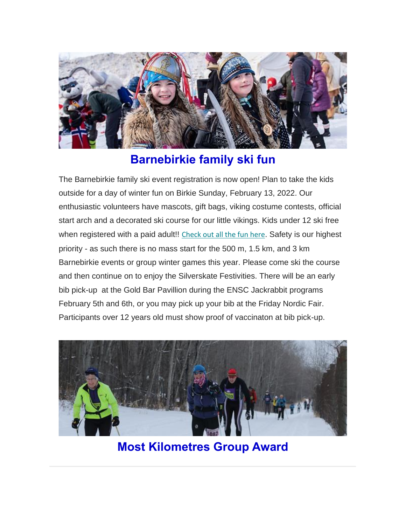

#### **Barnebirkie family ski fun**

The Barnebirkie family ski event registration is now open! Plan to take the kids outside for a day of winter fun on Birkie Sunday, February 13, 2022. Our enthusiastic volunteers have mascots, gift bags, viking costume contests, official start arch and a decorated ski course for our little vikings. Kids under 12 ski free when registered with a paid adult!! [Check out all the fun here](https://canadianbirkie.us14.list-manage.com/track/click?u=9a8b615d3eff76095a3ebc006&id=dc2222f1cd&e=75b743088f). Safety is our highest priority - as such there is no mass start for the 500 m, 1.5 km, and 3 km Barnebirkie events or group winter games this year. Please come ski the course and then continue on to enjoy the Silverskate Festivities. There will be an early bib pick-up at the Gold Bar Pavillion during the ENSC Jackrabbit programs February 5th and 6th, or you may pick up your bib at the Friday Nordic Fair. Participants over 12 years old must show proof of vaccinaton at bib pick-up.



**Most Kilometres Group Award**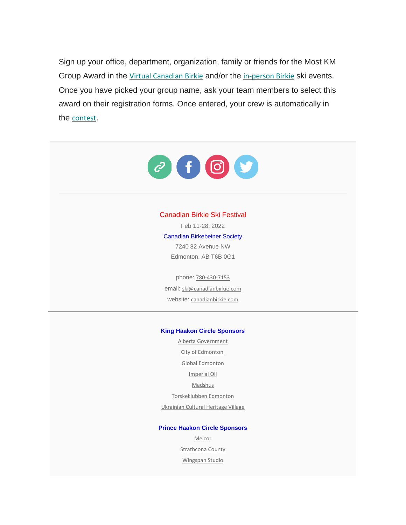Sign up your office, department, organization, family or friends for the Most KM Group Award in the [Virtual Canadian Birkie](https://canadianbirkie.us14.list-manage.com/track/click?u=9a8b615d3eff76095a3ebc006&id=2f97fbb2ce&e=75b743088f) and/or the [in-person Birkie](https://canadianbirkie.us14.list-manage.com/track/click?u=9a8b615d3eff76095a3ebc006&id=a6d413fe5c&e=75b743088f) ski events. Once you have picked your group name, ask your team members to select this award on their registration forms. Once entered, your crew is automatically in the [contest](https://canadianbirkie.us14.list-manage.com/track/click?u=9a8b615d3eff76095a3ebc006&id=6853d3462a&e=75b743088f).



#### Canadian Birkie Ski Festival

Feb 11-28, 2022 Canadian Birkebeiner Society 7240 82 Avenue NW Edmonton, AB T6B 0G1

phone: [780-430-7153](https://canadianbirkie.us14.list-manage.com/track/click?u=9a8b615d3eff76095a3ebc006&id=b3d5cc096d&e=75b743088f) email: [ski@canadianbirkie.com](https://canadianbirkie.us14.list-manage.com/track/click?u=9a8b615d3eff76095a3ebc006&id=2de53d012c&e=75b743088f) website: [canadianbirkie.com](https://canadianbirkie.us14.list-manage.com/track/click?u=9a8b615d3eff76095a3ebc006&id=35e772c97e&e=75b743088f)

#### **King Haakon Circle Sponsors**

[Alberta Government](https://canadianbirkie.us14.list-manage.com/track/click?u=9a8b615d3eff76095a3ebc006&id=84689bc088&e=75b743088f) [City of Edmonton](https://canadianbirkie.us14.list-manage.com/track/click?u=9a8b615d3eff76095a3ebc006&id=9f144f8621&e=75b743088f) [Global Edmonton](https://canadianbirkie.us14.list-manage.com/track/click?u=9a8b615d3eff76095a3ebc006&id=46e305a8a4&e=75b743088f) [Imperial Oil](https://canadianbirkie.us14.list-manage.com/track/click?u=9a8b615d3eff76095a3ebc006&id=faec8e2d45&e=75b743088f) [Madshus](https://canadianbirkie.us14.list-manage.com/track/click?u=9a8b615d3eff76095a3ebc006&id=f190cef382&e=75b743088f) [Torskeklubben Edmonton](https://canadianbirkie.us14.list-manage.com/track/click?u=9a8b615d3eff76095a3ebc006&id=6c8df05af0&e=75b743088f) [Ukrainian Cultural Heritage Village](https://canadianbirkie.us14.list-manage.com/track/click?u=9a8b615d3eff76095a3ebc006&id=db553ae925&e=75b743088f)

#### **Prince Haakon Circle Sponsors**

[Melcor](https://canadianbirkie.us14.list-manage.com/track/click?u=9a8b615d3eff76095a3ebc006&id=1b2a84c2bd&e=75b743088f) [Strathcona County](https://canadianbirkie.us14.list-manage.com/track/click?u=9a8b615d3eff76095a3ebc006&id=7a24c6dd9d&e=75b743088f) [Wingspan Studio](https://canadianbirkie.us14.list-manage.com/track/click?u=9a8b615d3eff76095a3ebc006&id=6e769b7698&e=75b743088f)